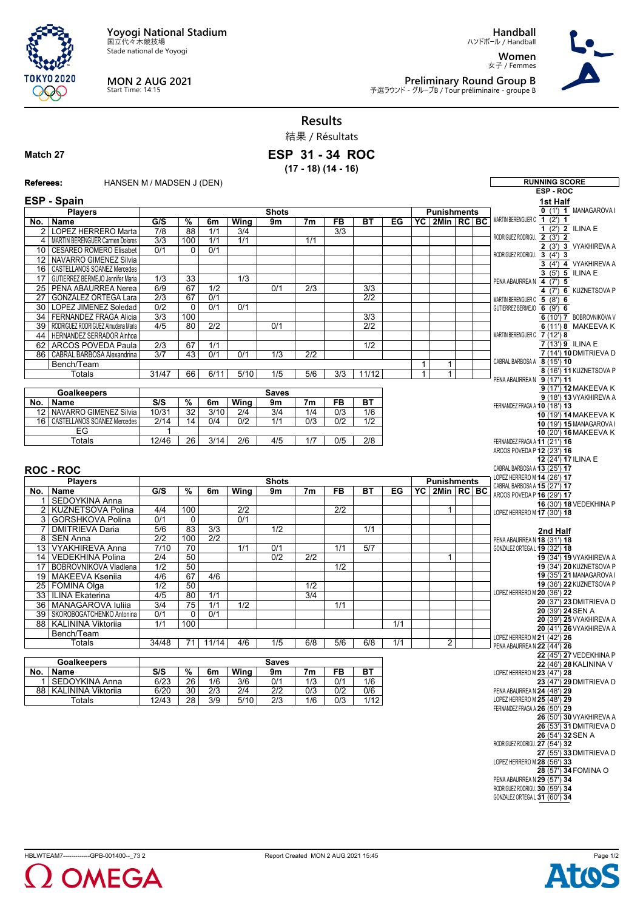**Yoyogi National Stadium** 国立代々木競技場

Stade national de Yoyogi



## **MON 2 AUG 2021** Start Time: 14:15

**Handball** ハンドボール / Handball

**Women** 女子 / Femmes



**Preliminary Round Group B**<br>予選ラウンド - グループB / Tour préliminaire - groupe B

**Results** 結果 / Résultats

## **Match 27**

**ESP 31 - 34 ROC (17 - 18) (14 - 16)**

| Referees:           | HANSEN M / MADSEN J (DEN)                                            |                  |                          |                  |                  |                    |                  |                |                  |     |                              |                                     |  |  | <b>RUNNING SCORE</b>                                        |
|---------------------|----------------------------------------------------------------------|------------------|--------------------------|------------------|------------------|--------------------|------------------|----------------|------------------|-----|------------------------------|-------------------------------------|--|--|-------------------------------------------------------------|
|                     |                                                                      |                  |                          |                  |                  |                    |                  |                |                  |     |                              |                                     |  |  | ESP-ROC                                                     |
|                     | ESP - Spain                                                          |                  |                          |                  | 1st Half         |                    |                  |                |                  |     |                              |                                     |  |  |                                                             |
|                     | <b>Players</b>                                                       |                  |                          |                  |                  | <b>Shots</b>       |                  |                |                  |     |                              | <b>Punishments</b>                  |  |  | 0 (1') 1 MANAGAROVA I                                       |
| No.                 | Name                                                                 | $\overline{G/S}$ | $\overline{\frac{9}{6}}$ | 6m               | <b>Wing</b>      | 9m                 | 7m               | F <sub>B</sub> | <b>BT</b>        | EG  |                              | YC 2Min RC BC                       |  |  | MARTIN BERENGUER C 1 (2') 1                                 |
|                     | 2   LOPEZ HERRERO Marta                                              | 7/8              | 88                       | 1/1              | 3/4              |                    |                  | 3/3            |                  |     |                              |                                     |  |  | 1 $(2')$ 2 ILINA E<br>RODRIGUEZ RODRIGU. 2 (3') 2           |
| 4                   | MARTIN BERENGUER Carmen Dolores                                      | $\overline{3/3}$ | 100                      | $\overline{1/1}$ | 1/1              |                    | 1/1              |                |                  |     |                              |                                     |  |  | 2 (3') 3 VYAKHIREVA A                                       |
| 10                  | <b>CESAREO ROMERO Elisabet</b>                                       | 0/1              | $\Omega$                 | 0/1              |                  |                    |                  |                |                  |     |                              |                                     |  |  | RODRIGUEZ RODRIGU. 3 (4') 3                                 |
| 12 <sup>°</sup>     | NAVARRO GIMENEZ Silvia                                               |                  |                          |                  |                  |                    |                  |                |                  |     |                              |                                     |  |  | 3 (4') 4 VYAKHIREVA A                                       |
| 17                  | 16   CASTELLANOS SOANEZ Mercedes<br>GUTIERREZ BERMEJO Jennifer Maria |                  |                          |                  | $\overline{1/3}$ |                    |                  |                |                  |     |                              |                                     |  |  | 3 (5') 5 ILINA E                                            |
|                     | 25 PENA ABAURREA Nerea                                               | 1/3<br>6/9       | 33<br>67                 | 1/2              |                  | 0/1                | $\overline{2/3}$ |                | $\overline{3/3}$ |     |                              |                                     |  |  | PENA ABAURREA N 4 (7') 5                                    |
| 27                  | GONZALEZ ORTEGA Lara                                                 | $\overline{2/3}$ | 67                       | 0/1              |                  |                    |                  |                | $\overline{2/2}$ |     |                              |                                     |  |  | 4 (7') 6 KUZNETSOVA P                                       |
|                     | 30   LOPEZ JIMENEZ Soledad                                           | $\overline{0/2}$ | $\mathbf 0$              | 0/1              | 0/1              |                    |                  |                |                  |     |                              |                                     |  |  | MARTIN BERENGUER C 5 (8') 6<br>GUTIERREZ BERMEJO 6 (9') 6   |
| 34                  | <b>FERNANDEZ FRAGA Alicia</b>                                        | 3/3              | 100                      |                  |                  |                    |                  |                | $\overline{3/3}$ |     |                              |                                     |  |  | 6 (10') 7 BOBROVNIKOVA V                                    |
|                     | 39 RODRIGUEZ RODRIGUEZ Almudena Maria                                | 4/5              | 80                       | $\overline{2/2}$ |                  | 0/1                |                  |                | 2/2              |     |                              |                                     |  |  | 6 (11') 8 MAKEEVA K                                         |
|                     | 44 HERNANDEZ SERRADOR Ainhoa                                         |                  |                          |                  |                  |                    |                  |                |                  |     |                              |                                     |  |  | MARTIN BERENGUER C 7 (12') 8                                |
| 62                  | <b>ARCOS POVEDA Paula</b>                                            | 2/3              | 67                       | 1/1              |                  |                    |                  |                | 1/2              |     |                              |                                     |  |  | 7 (13') 9 ILINA E                                           |
|                     | 86 CABRAL BARBOSA Alexandrina                                        | 3/7              | 43                       | 0/1              | 0/1              | $\overline{1/3}$   | $\overline{2/2}$ |                |                  |     |                              |                                     |  |  | 7 (14') 10 DMITRIEVA D                                      |
|                     | Bench/Team                                                           |                  |                          |                  |                  |                    |                  |                |                  |     | $\mathbf{1}$                 | 1                                   |  |  | CABRAL BARBOSA A 8 (15') 10                                 |
|                     | Totals                                                               | 31/47            | 66                       | 6/11             | 5/10             | 1/5                | 5/6              | 3/3            | 11/12            |     | $\mathbf{1}$                 | $\mathbf{1}$                        |  |  | 8 (16') 11 KUZNETSOVA P<br>PENA ABAURREA N 9 (17') 11       |
|                     |                                                                      |                  |                          |                  |                  |                    |                  |                |                  |     |                              |                                     |  |  | 9 (17') 12 MAKEEVA K                                        |
|                     | <b>Goalkeepers</b>                                                   |                  |                          |                  |                  | <b>Saves</b>       |                  |                |                  |     |                              |                                     |  |  | 9 (18') 13 VYAKHIREVA A                                     |
| No.                 | Name                                                                 | S/S              | $\%$                     | 6m               | Wing             | 9m                 | 7 <sub>m</sub>   | <b>FB</b>      | <b>BT</b>        |     |                              |                                     |  |  | FERNANDEZ FRAGA A 10 (18') 13                               |
|                     | 12 NAVARRO GIMENEZ Silvia                                            | 10/31            | $\overline{32}$          | 3/10             | 2/4              | 3/4                | 1/4              | 0/3            | 1/6              |     |                              |                                     |  |  | 10 (19') 14 MAKEEVA K                                       |
|                     | 16   CASTELLANOS SOANEZ Mercedes                                     | 2/14             | 14                       | 0/4              | $\overline{0/2}$ | 1/1                | $\overline{0/3}$ | 0/2            | 1/2              |     |                              |                                     |  |  | 10 (19') 15 MANAGAROVA I                                    |
|                     | EG<br>Totals                                                         | 1<br>12/46       | $\overline{26}$          | 3/14             | $\overline{2/6}$ | 4/5                | 1/7              | 0/5            | $\overline{2/8}$ |     |                              |                                     |  |  | 10 (20') 16 MAKEEVA K                                       |
|                     |                                                                      |                  |                          |                  |                  |                    |                  |                |                  |     |                              |                                     |  |  | FERNANDEZ FRAGA A 11 (21') 16<br>ARCOS POVEDA P 12 (23') 16 |
|                     |                                                                      |                  |                          |                  |                  |                    |                  |                |                  |     |                              |                                     |  |  | 12 (24') 17 ILINA E                                         |
| <b>ROC - ROC</b>    |                                                                      |                  |                          |                  |                  |                    |                  |                |                  |     | CABRAL BARBOSA A 13 (25') 17 |                                     |  |  |                                                             |
|                     |                                                                      |                  |                          |                  |                  |                    |                  |                |                  |     |                              |                                     |  |  | LOPEZ HERRERO M 14 (26') 17                                 |
|                     | <b>Players</b>                                                       | G/S              | $\overline{\%}$          |                  | Wing             | <b>Shots</b><br>9m | 7m               | <b>FB</b>      | <b>BT</b>        | EG  |                              | <b>Punishments</b><br>YC 2Min RC BC |  |  | CABRAL BARBOSA A 15 (27') 17                                |
| No.<br>$\mathbf{1}$ | Name<br>SEDOYKINA Anna                                               |                  |                          | 6m               |                  |                    |                  |                |                  |     |                              |                                     |  |  | ARCOS POVEDA P 16 (29') 17                                  |
|                     | 2 KUZNETSOVA Polina                                                  | 4/4              | 100                      |                  | $\overline{2/2}$ |                    |                  | 2/2            |                  |     |                              | 1                                   |  |  | 16 (30') 18 VEDEKHINA P                                     |
| 3                   | <b>GORSHKOVA Polina</b>                                              | 0/1              | $\mathbf 0$              |                  | 0/1              |                    |                  |                |                  |     |                              |                                     |  |  | LOPEZ HERRERO M 17 (30') 18                                 |
| 7                   | <b>DMITRIEVA Daria</b>                                               | 5/6              | 83                       | 3/3              |                  | 1/2                |                  |                | 1/1              |     |                              |                                     |  |  | 2nd Half                                                    |
| 8                   | SEN Anna                                                             | $\overline{2/2}$ | 100                      | $\overline{2/2}$ |                  |                    |                  |                |                  |     |                              |                                     |  |  | PENA ABAURREA N 18 (31') 18                                 |
|                     | 13 VYAKHIREVA Anna                                                   | 7/10             | 70                       |                  | 1/1              | 0/1                |                  | 1/1            | 5/7              |     |                              |                                     |  |  | GONZALEZ ORTEGAL 19 (32') 18                                |
|                     | 14 VEDEKHINA Polina                                                  | 2/4              | 50                       |                  |                  | $\overline{0/2}$   | $\overline{2/2}$ |                |                  |     |                              | 1                                   |  |  | 19 (34') 19 VYAKHIREVA A                                    |
|                     | 17   BOBROVNIKOVA Vladlena                                           | 1/2              | 50                       |                  |                  |                    |                  | 1/2            |                  |     |                              |                                     |  |  | 19 (34') 20 KUZNETSOVA P                                    |
|                     | 19   MAKEEVA Ksenija                                                 | 4/6              | 67                       | 4/6              |                  |                    |                  |                |                  |     |                              |                                     |  |  | 19 (35') 21 MANAGAROVA I                                    |
|                     | 25 FOMINA Olga                                                       | $\overline{1/2}$ | 50                       |                  |                  |                    | $\overline{1/2}$ |                |                  |     |                              |                                     |  |  | 19 (36') 22 KUZNETSOVA P<br>LOPEZ HERRERO M 20 (36') 22     |
|                     | 33 ILINA Ekaterina                                                   | 4/5              | 80                       | 1/1              |                  |                    | $\overline{3/4}$ |                |                  |     |                              |                                     |  |  | 20 (37') 23 DMITRIEVA D                                     |
|                     | 36 MANAGAROVA Iuliia                                                 | 3/4              | $\overline{75}$          | 1/1              | $\overline{1/2}$ |                    |                  | 1/1            |                  |     |                              |                                     |  |  | 20 (39') 24 SEN A                                           |
|                     | 39   SKOROBOGATCHENKO Antonina                                       | 0/1              | 0                        | 0/1              |                  |                    |                  |                |                  |     |                              |                                     |  |  | 20 (39') 25 VYAKHIREVA A                                    |
|                     | 88 KALININA Viktoriia<br>Bench/Team                                  | 1/1              | 100                      |                  |                  |                    |                  |                |                  | 1/1 |                              |                                     |  |  | 20 (41') 26 VYAKHIREVA A                                    |
|                     | Totals                                                               | 34/48            | 71                       | 11/14            | 4/6              | 1/5                | 6/8              | 5/6            | 6/8              | 1/1 |                              | $\overline{2}$                      |  |  | LOPEZ HERRERO M 21 (42') 26                                 |
|                     |                                                                      |                  |                          |                  |                  |                    |                  |                |                  |     |                              |                                     |  |  | PENA ABAURREA N 22 (44') 26                                 |
|                     | <b>Goalkeepers</b>                                                   | <b>Saves</b>     |                          |                  |                  |                    |                  |                |                  |     |                              |                                     |  |  | 22 (45') 27 VEDEKHINA P<br>22 (46') 28 KALININA V           |
| No.                 | Name                                                                 | S/S              | %                        | 6m               | Wing             | 9m                 | 7m               | FB             | BT               |     |                              |                                     |  |  | LOPEZ HERRERO M 23 (47') 28                                 |
| 1                   | SEDOYKINA Anna                                                       | 6/23             | $\overline{26}$          | 1/6              | 3/6              | 0/1                | 1/3              | 0/1            | 1/6              |     |                              |                                     |  |  | 23 (47') 29 DMITRIEVA D                                     |
|                     | 88   KALININA Viktorija                                              | 6/20             | 30                       | $\overline{2/3}$ | 2/4              | 2/2                | 0/3              | 0/2            | 0/6              |     |                              |                                     |  |  | PENA ABAURREA N 24 (48') 29                                 |
|                     | Totals                                                               | 12/43            | 28                       | 3/9              | 5/10             | $\overline{2/3}$   | 1/6              | 0/3            | 1/12             |     |                              |                                     |  |  | LOPEZ HERRERO M 25 (48') 29                                 |
|                     |                                                                      |                  |                          |                  |                  |                    |                  |                |                  |     |                              |                                     |  |  | FERNANDEZ FRAGA A 26 (50') 29                               |
|                     |                                                                      |                  |                          |                  |                  |                    |                  |                |                  |     |                              |                                     |  |  | 26 (50') 30 VYAKHIREVA A                                    |
|                     |                                                                      |                  |                          |                  |                  |                    |                  |                |                  |     |                              |                                     |  |  | 26 (53') 31 DMITRIEVA D                                     |
|                     |                                                                      |                  |                          |                  |                  |                    |                  |                |                  |     |                              |                                     |  |  | 26 (54') 32 SEN A<br>RODRIGUEZ RODRIGU. 27 (54') 32         |
|                     |                                                                      |                  |                          |                  |                  |                    |                  |                |                  |     |                              |                                     |  |  | 27 (55') 33 DMITRIEVA D                                     |
|                     |                                                                      |                  |                          |                  |                  |                    |                  |                |                  |     |                              |                                     |  |  | LOPEZ HERRERO M 28 (56') 33                                 |
|                     |                                                                      |                  |                          |                  |                  |                    |                  |                |                  |     |                              |                                     |  |  | 28 (57') 34 FOMINA O                                        |
|                     |                                                                      |                  |                          |                  |                  |                    |                  |                |                  |     |                              |                                     |  |  | PENA ABAURREA N 29 (57') 34                                 |
|                     |                                                                      |                  |                          |                  |                  |                    |                  |                |                  |     |                              |                                     |  |  | RODRIGUEZ RODRIGU. 30 (59') 34                              |
|                     |                                                                      |                  |                          |                  |                  |                    |                  |                |                  |     |                              |                                     |  |  | GONZALEZ ORTEGA L 31 (60') 34                               |